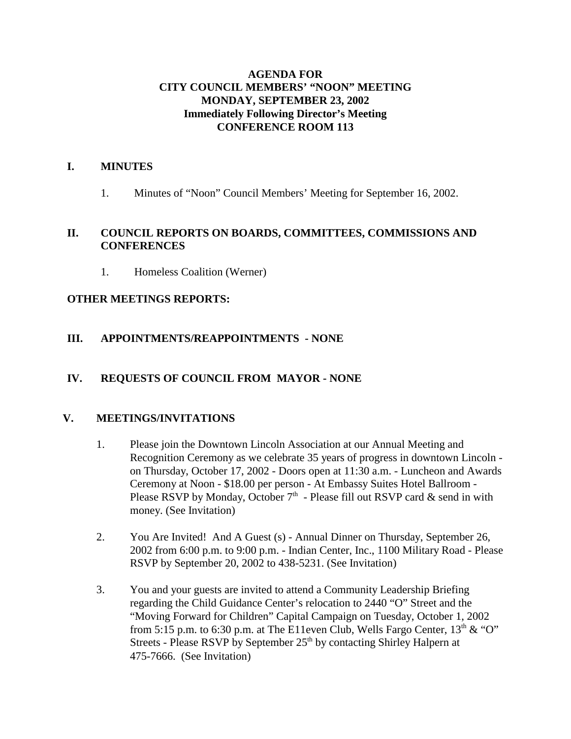### **AGENDA FOR CITY COUNCIL MEMBERS' "NOON" MEETING MONDAY, SEPTEMBER 23, 2002 Immediately Following Director's Meeting CONFERENCE ROOM 113**

#### **I. MINUTES**

1. Minutes of "Noon" Council Members' Meeting for September 16, 2002.

#### **II. COUNCIL REPORTS ON BOARDS, COMMITTEES, COMMISSIONS AND CONFERENCES**

1. Homeless Coalition (Werner)

#### **OTHER MEETINGS REPORTS:**

## **III. APPOINTMENTS/REAPPOINTMENTS - NONE**

#### **IV. REQUESTS OF COUNCIL FROM MAYOR - NONE**

#### **V. MEETINGS/INVITATIONS**

- 1. Please join the Downtown Lincoln Association at our Annual Meeting and Recognition Ceremony as we celebrate 35 years of progress in downtown Lincoln on Thursday, October 17, 2002 - Doors open at 11:30 a.m. - Luncheon and Awards Ceremony at Noon - \$18.00 per person - At Embassy Suites Hotel Ballroom - Please RSVP by Monday, October  $7<sup>th</sup>$  - Please fill out RSVP card  $\&$  send in with money. (See Invitation)
- 2. You Are Invited! And A Guest (s) Annual Dinner on Thursday, September 26, 2002 from 6:00 p.m. to 9:00 p.m. - Indian Center, Inc., 1100 Military Road - Please RSVP by September 20, 2002 to 438-5231. (See Invitation)
- 3. You and your guests are invited to attend a Community Leadership Briefing regarding the Child Guidance Center's relocation to 2440 "O" Street and the "Moving Forward for Children" Capital Campaign on Tuesday, October 1, 2002 from 5:15 p.m. to 6:30 p.m. at The E11even Club, Wells Fargo Center,  $13<sup>th</sup> \& ^{\circ}$  "O" Streets - Please RSVP by September  $25<sup>th</sup>$  by contacting Shirley Halpern at 475-7666. (See Invitation)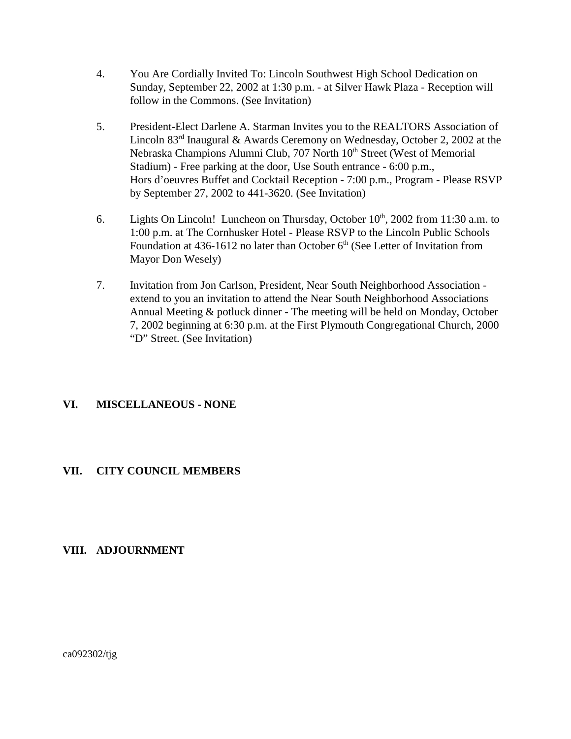- 4. You Are Cordially Invited To: Lincoln Southwest High School Dedication on Sunday, September 22, 2002 at 1:30 p.m. - at Silver Hawk Plaza - Reception will follow in the Commons. (See Invitation)
- 5. President-Elect Darlene A. Starman Invites you to the REALTORS Association of Lincoln  $83<sup>rd</sup>$  Inaugural & Awards Ceremony on Wednesday, October 2, 2002 at the Nebraska Champions Alumni Club, 707 North 10<sup>th</sup> Street (West of Memorial Stadium) - Free parking at the door, Use South entrance - 6:00 p.m., Hors d'oeuvres Buffet and Cocktail Reception - 7:00 p.m., Program - Please RSVP by September 27, 2002 to 441-3620. (See Invitation)
- 6. Lights On Lincoln! Luncheon on Thursday, October  $10<sup>th</sup>$ , 2002 from 11:30 a.m. to 1:00 p.m. at The Cornhusker Hotel - Please RSVP to the Lincoln Public Schools Foundation at 436-1612 no later than October  $6<sup>th</sup>$  (See Letter of Invitation from Mayor Don Wesely)
- 7. Invitation from Jon Carlson, President, Near South Neighborhood Association extend to you an invitation to attend the Near South Neighborhood Associations Annual Meeting & potluck dinner - The meeting will be held on Monday, October 7, 2002 beginning at 6:30 p.m. at the First Plymouth Congregational Church, 2000 "D" Street. (See Invitation)

#### **VI. MISCELLANEOUS - NONE**

#### **VII. CITY COUNCIL MEMBERS**

#### **VIII. ADJOURNMENT**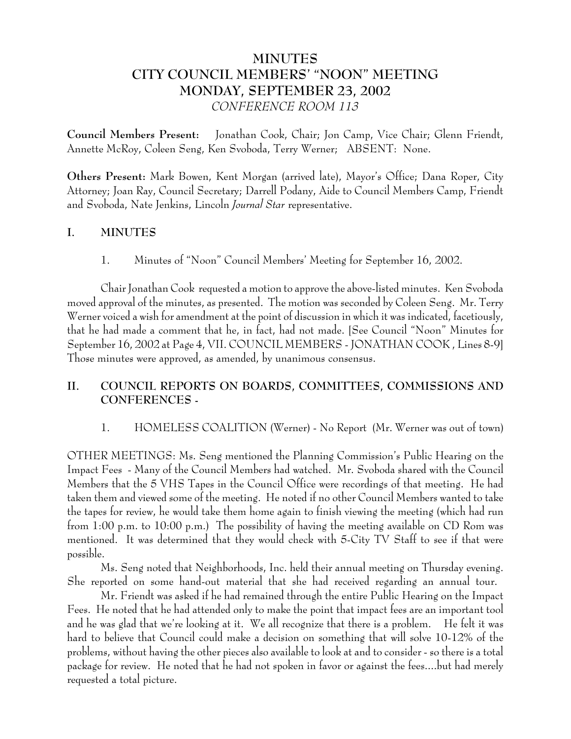# **MINUTES CITY COUNCIL MEMBERS' "NOON" MEETING MONDAY, SEPTEMBER 23, 2002** *CONFERENCE ROOM 113*

**Council Members Present:** Jonathan Cook, Chair; Jon Camp, Vice Chair; Glenn Friendt, Annette McRoy, Coleen Seng, Ken Svoboda, Terry Werner; ABSENT: None.

**Others Present:** Mark Bowen, Kent Morgan (arrived late), Mayor's Office; Dana Roper, City Attorney; Joan Ray, Council Secretary; Darrell Podany, Aide to Council Members Camp, Friendt and Svoboda, Nate Jenkins, Lincoln *Journal Star* representative.

#### **I. MINUTES**

1. Minutes of "Noon" Council Members' Meeting for September 16, 2002.

Chair Jonathan Cook requested a motion to approve the above-listed minutes. Ken Svoboda moved approval of the minutes, as presented. The motion was seconded by Coleen Seng. Mr. Terry Werner voiced a wish for amendment at the point of discussion in which it was indicated, facetiously, that he had made a comment that he, in fact, had not made. [See Council "Noon" Minutes for September 16, 2002 at Page 4, VII. COUNCIL MEMBERS - JONATHAN COOK , Lines 8-9] Those minutes were approved, as amended, by unanimous consensus.

# **II. COUNCIL REPORTS ON BOARDS, COMMITTEES, COMMISSIONS AND CONFERENCES -**

1. HOMELESS COALITION (Werner) - No Report (Mr. Werner was out of town)

OTHER MEETINGS: Ms. Seng mentioned the Planning Commission's Public Hearing on the Impact Fees - Many of the Council Members had watched. Mr. Svoboda shared with the Council Members that the 5 VHS Tapes in the Council Office were recordings of that meeting. He had taken them and viewed some of the meeting. He noted if no other Council Members wanted to take the tapes for review, he would take them home again to finish viewing the meeting (which had run from 1:00 p.m. to 10:00 p.m.) The possibility of having the meeting available on CD Rom was mentioned. It was determined that they would check with 5-City TV Staff to see if that were possible.

Ms. Seng noted that Neighborhoods, Inc. held their annual meeting on Thursday evening. She reported on some hand-out material that she had received regarding an annual tour.

Mr. Friendt was asked if he had remained through the entire Public Hearing on the Impact Fees. He noted that he had attended only to make the point that impact fees are an important tool and he was glad that we're looking at it. We all recognize that there is a problem. He felt it was hard to believe that Council could make a decision on something that will solve 10-12% of the problems, without having the other pieces also available to look at and to consider - so there is a total package for review. He noted that he had not spoken in favor or against the fees....but had merely requested a total picture.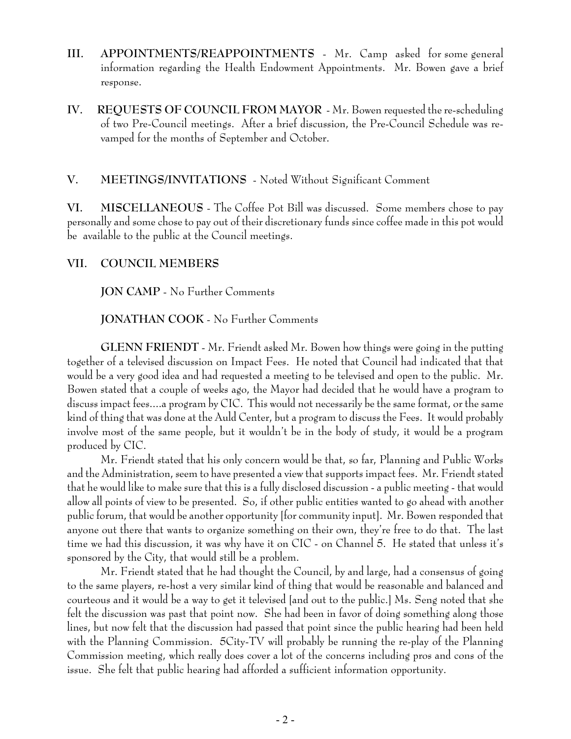- **III. APPOINTMENTS/REAPPOINTMENTS** Mr. Camp asked for some general information regarding the Health Endowment Appointments. Mr. Bowen gave a brief response.
- **IV. REQUESTS OF COUNCIL FROM MAYOR** Mr. Bowen requested the re-scheduling of two Pre-Council meetings. After a brief discussion, the Pre-Council Schedule was revamped for the months of September and October.

#### **V. MEETINGS/INVITATIONS** - Noted Without Significant Comment

**VI. MISCELLANEOUS** - The Coffee Pot Bill was discussed. Some members chose to pay personally and some chose to pay out of their discretionary funds since coffee made in this pot would be available to the public at the Council meetings.

#### **VII. COUNCIL MEMBERS**

**JON CAMP** - No Further Comments

**JONATHAN COOK** - No Further Comments

**GLENN FRIENDT** - Mr. Friendt asked Mr. Bowen how things were going in the putting together of a televised discussion on Impact Fees. He noted that Council had indicated that that would be a very good idea and had requested a meeting to be televised and open to the public. Mr. Bowen stated that a couple of weeks ago, the Mayor had decided that he would have a program to discuss impact fees....a program by CIC. This would not necessarily be the same format, or the same kind of thing that was done at the Auld Center, but a program to discuss the Fees. It would probably involve most of the same people, but it wouldn't be in the body of study, it would be a program produced by CIC.

Mr. Friendt stated that his only concern would be that, so far, Planning and Public Works and the Administration, seem to have presented a view that supports impact fees. Mr. Friendt stated that he would like to make sure that this is a fully disclosed discussion - a public meeting - that would allow all points of view to be presented. So, if other public entities wanted to go ahead with another public forum, that would be another opportunity [for community input]. Mr. Bowen responded that anyone out there that wants to organize something on their own, they're free to do that. The last time we had this discussion, it was why have it on CIC - on Channel 5. He stated that unless it's sponsored by the City, that would still be a problem.

Mr. Friendt stated that he had thought the Council, by and large, had a consensus of going to the same players, re-host a very similar kind of thing that would be reasonable and balanced and courteous and it would be a way to get it televised [and out to the public.] Ms. Seng noted that she felt the discussion was past that point now. She had been in favor of doing something along those lines, but now felt that the discussion had passed that point since the public hearing had been held with the Planning Commission. 5City-TV will probably be running the re-play of the Planning Commission meeting, which really does cover a lot of the concerns including pros and cons of the issue. She felt that public hearing had afforded a sufficient information opportunity.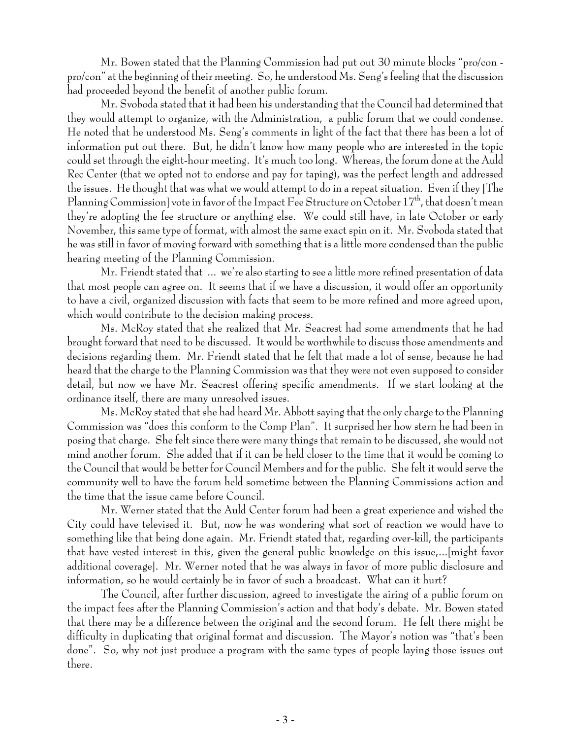Mr. Bowen stated that the Planning Commission had put out 30 minute blocks "pro/con pro/con" at the beginning of their meeting. So, he understood Ms. Seng's feeling that the discussion had proceeded beyond the benefit of another public forum.

Mr. Svoboda stated that it had been his understanding that the Council had determined that they would attempt to organize, with the Administration, a public forum that we could condense. He noted that he understood Ms. Seng's comments in light of the fact that there has been a lot of information put out there. But, he didn't know how many people who are interested in the topic could set through the eight-hour meeting. It's much too long. Whereas, the forum done at the Auld Rec Center (that we opted not to endorse and pay for taping), was the perfect length and addressed the issues. He thought that was what we would attempt to do in a repeat situation. Even if they [The Planning Commission] vote in favor of the Impact Fee Structure on October 17<sup>th</sup>, that doesn't mean they're adopting the fee structure or anything else. We could still have, in late October or early November, this same type of format, with almost the same exact spin on it. Mr. Svoboda stated that he was still in favor of moving forward with something that is a little more condensed than the public hearing meeting of the Planning Commission.

Mr. Friendt stated that ... we're also starting to see a little more refined presentation of data that most people can agree on. It seems that if we have a discussion, it would offer an opportunity to have a civil, organized discussion with facts that seem to be more refined and more agreed upon, which would contribute to the decision making process.

Ms. McRoy stated that she realized that Mr. Seacrest had some amendments that he had brought forward that need to be discussed. It would be worthwhile to discuss those amendments and decisions regarding them. Mr. Friendt stated that he felt that made a lot of sense, because he had heard that the charge to the Planning Commission was that they were not even supposed to consider detail, but now we have Mr. Seacrest offering specific amendments. If we start looking at the ordinance itself, there are many unresolved issues.

Ms. McRoy stated that she had heard Mr. Abbott saying that the only charge to the Planning Commission was "does this conform to the Comp Plan". It surprised her how stern he had been in posing that charge. She felt since there were many things that remain to be discussed, she would not mind another forum. She added that if it can be held closer to the time that it would be coming to the Council that would be better for Council Members and for the public. She felt it would serve the community well to have the forum held sometime between the Planning Commissions action and the time that the issue came before Council.

Mr. Werner stated that the Auld Center forum had been a great experience and wished the City could have televised it. But, now he was wondering what sort of reaction we would have to something like that being done again. Mr. Friendt stated that, regarding over-kill, the participants that have vested interest in this, given the general public knowledge on this issue,...[might favor additional coverage]. Mr. Werner noted that he was always in favor of more public disclosure and information, so he would certainly be in favor of such a broadcast. What can it hurt?

The Council, after further discussion, agreed to investigate the airing of a public forum on the impact fees after the Planning Commission's action and that body's debate. Mr. Bowen stated that there may be a difference between the original and the second forum. He felt there might be difficulty in duplicating that original format and discussion. The Mayor's notion was "that's been done". So, why not just produce a program with the same types of people laying those issues out there.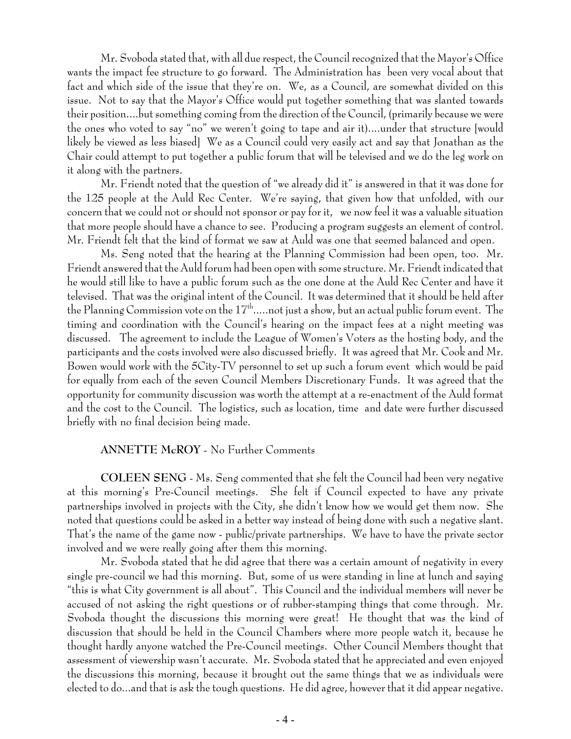Mr. Svoboda stated that, with all due respect, the Council recognized that the Mayor's Office wants the impact fee structure to go forward. The Administration has been very vocal about that fact and which side of the issue that they're on. We, as a Council, are somewhat divided on this issue. Not to say that the Mayor's Office would put together something that was slanted towards their position....but something coming from the direction of the Council, (primarily because we were the ones who voted to say "no" we weren't going to tape and air it)....under that structure [would likely be viewed as less biased] We as a Council could very easily act and say that Jonathan as the Chair could attempt to put together a public forum that will be televised and we do the leg work on it along with the partners.

Mr. Friendt noted that the question of "we already did it" is answered in that it was done for the 125 people at the Auld Rec Center. We're saying, that given how that unfolded, with our concern that we could not or should not sponsor or pay for it, we now feel it was a valuable situation that more people should have a chance to see. Producing a program suggests an element of control. Mr. Friendt felt that the kind of format we saw at Auld was one that seemed balanced and open.

Ms. Seng noted that the hearing at the Planning Commission had been open, too. Mr. Friendt answered that the Auld forum had been open with some structure. Mr. Friendt indicated that he would still like to have a public forum such as the one done at the Auld Rec Center and have it televised. That was the original intent of the Council. It was determined that it should be held after the Planning Commission vote on the  $17<sup>th</sup>$ .....not just a show, but an actual public forum event. The timing and coordination with the Council's hearing on the impact fees at a night meeting was discussed. The agreement to include the League of Women's Voters as the hosting body, and the participants and the costs involved were also discussed briefly. It was agreed that Mr. Cook and Mr. Bowen would work with the 5City-TV personnel to set up such a forum event which would be paid for equally from each of the seven Council Members Discretionary Funds. It was agreed that the opportunity for community discussion was worth the attempt at a re-enactment of the Auld format and the cost to the Council. The logistics, such as location, time and date were further discussed briefly with no final decision being made.

#### **ANNETTE McROY** - No Further Comments

**COLEEN SENG** - Ms. Seng commented that she felt the Council had been very negative at this morning's Pre-Council meetings. She felt if Council expected to have any private partnerships involved in projects with the City, she didn't know how we would get them now. She noted that questions could be asked in a better way instead of being done with such a negative slant. That's the name of the game now - public/private partnerships. We have to have the private sector involved and we were really going after them this morning.

Mr. Svoboda stated that he did agree that there was a certain amount of negativity in every single pre-council we had this morning. But, some of us were standing in line at lunch and saying "this is what City government is all about". This Council and the individual members will never be accused of not asking the right questions or of rubber-stamping things that come through. Mr. Svoboda thought the discussions this morning were great! He thought that was the kind of discussion that should be held in the Council Chambers where more people watch it, because he thought hardly anyone watched the Pre-Council meetings. Other Council Members thought that assessment of viewership wasn't accurate. Mr. Svoboda stated that he appreciated and even enjoyed the discussions this morning, because it brought out the same things that we as individuals were elected to do...and that is ask the tough questions. He did agree, however that it did appear negative.